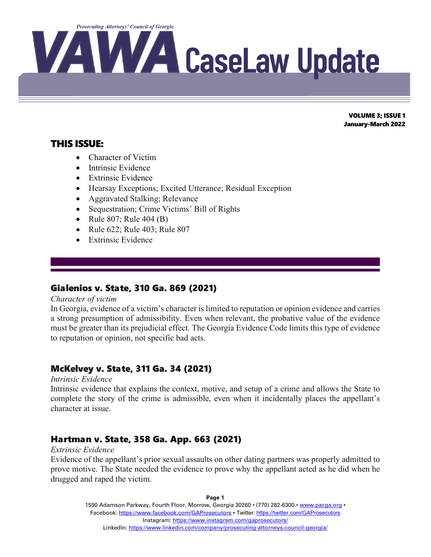

# THIS ISSUE:

- Character of Victim
- Intrinsic Evidence
- Extrinsic Evidence
- Hearsay Exceptions; Excited Utterance; Residual Exception
- Aggravated Stalking; Relevance
- Sequestration; Crime Victims' Bill of Rights
- Rule 807; Rule 404 (B)
- Rule 622; Rule 403; Rule 807
- Extrinsic Evidence

# Gialenios v. State, 310 Ga. 869 (2021)

### *Character of victim*

 $\overline{a}$ 

In Georgia, evidence of a victim's character is limited to reputation or opinion evidence and carries a strong presumption of admissibility. Even when relevant, the probative value of the evidence must be greater than its prejudicial effect. The Georgia Evidence Code limits this type of evidence to reputation or opinion, not specific bad acts.

# McKelvey v. State, 311 Ga. 34 (2021)

### *Intrinsic Evidence*

Intrinsic evidence that explains the context, motive, and setup of a crime and allows the State to complete the story of the crime is admissible, even when it incidentally places the appellant's character at issue.

# Hartman v. State, 358 Ga. App. 663 (2021)

### *Extrinsic Evidence*

Evidence of the appellant's prior sexual assaults on other dating partners was properly admitted to prove motive. The State needed the evidence to prove why the appellant acted as he did when he drugged and raped the victim.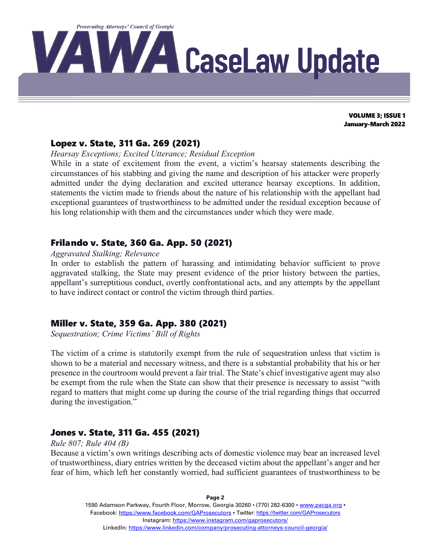

### Lopez v. State, 311 Ga. 269 (2021)

*Hearsay Exceptions; Excited Utterance; Residual Exception*

While in a state of excitement from the event, a victim's hearsay statements describing the circumstances of his stabbing and giving the name and description of his attacker were properly admitted under the dying declaration and excited utterance hearsay exceptions. In addition, statements the victim made to friends about the nature of his relationship with the appellant had exceptional guarantees of trustworthiness to be admitted under the residual exception because of his long relationship with them and the circumstances under which they were made.

# Frilando v. State, 360 Ga. App. 50 (2021)

### *Aggravated Stalking; Relevance*

In order to establish the pattern of harassing and intimidating behavior sufficient to prove aggravated stalking, the State may present evidence of the prior history between the parties, appellant's surreptitious conduct, overtly confrontational acts, and any attempts by the appellant to have indirect contact or control the victim through third parties.

### Miller v. State, 359 Ga. App. 380 (2021)

*Sequestration; Crime Victims' Bill of Rights*

The victim of a crime is statutorily exempt from the rule of sequestration unless that victim is shown to be a material and necessary witness, and there is a substantial probability that his or her presence in the courtroom would prevent a fair trial. The State's chief investigative agent may also be exempt from the rule when the State can show that their presence is necessary to assist "with regard to matters that might come up during the course of the trial regarding things that occurred during the investigation."

# Jones v. State, 311 Ga. 455 (2021)

### *Rule 807; Rule 404 (B)*

Because a victim's own writings describing acts of domestic violence may bear an increased level of trustworthiness, diary entries written by the deceased victim about the appellant's anger and her fear of him, which left her constantly worried, had sufficient guarantees of trustworthiness to be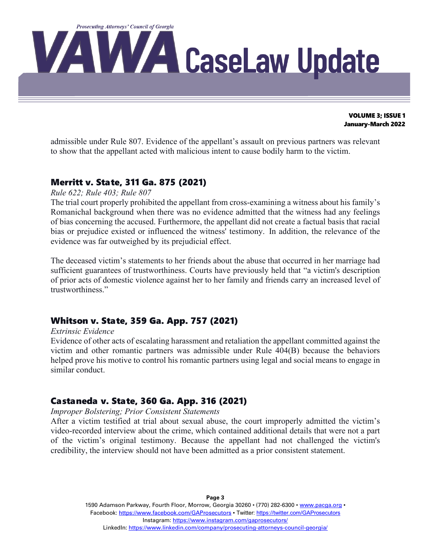

admissible under Rule 807. Evidence of the appellant's assault on previous partners was relevant to show that the appellant acted with malicious intent to cause bodily harm to the victim.

## Merritt v. State, 311 Ga. 875 (2021)

### *Rule 622; Rule 403; Rule 807*

The trial court properly prohibited the appellant from cross-examining a witness about his family's Romanichal background when there was no evidence admitted that the witness had any feelings of bias concerning the accused. Furthermore, the appellant did not create a factual basis that racial bias or prejudice existed or influenced the witness' testimony. In addition, the relevance of the evidence was far outweighed by its prejudicial effect.

The deceased victim's statements to her friends about the abuse that occurred in her marriage had sufficient guarantees of trustworthiness. Courts have previously held that "a victim's description of prior acts of domestic violence against her to her family and friends carry an increased level of trustworthiness."

# Whitson v. State, 359 Ga. App. 757 (2021)

#### *Extrinsic Evidence*

Evidence of other acts of escalating harassment and retaliation the appellant committed against the victim and other romantic partners was admissible under Rule 404(B) because the behaviors helped prove his motive to control his romantic partners using legal and social means to engage in similar conduct.

### Castaneda v. State, 360 Ga. App. 316 (2021)

*Improper Bolstering; Prior Consistent Statements*

After a victim testified at trial about sexual abuse, the court improperly admitted the victim's video-recorded interview about the crime, which contained additional details that were not a part of the victim's original testimony. Because the appellant had not challenged the victim's credibility, the interview should not have been admitted as a prior consistent statement.